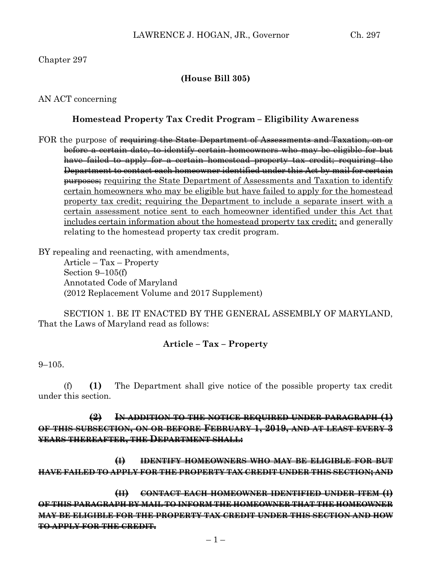### Chapter 297

#### **(House Bill 305)**

AN ACT concerning

#### **Homestead Property Tax Credit Program – Eligibility Awareness**

FOR the purpose of requiring the State Department of Assessments and Taxation, on or before a certain date, to identify certain homeowners who may be eligible for but have failed to apply for a certain homestead property tax credit; requiring the Department to contact each homeowner identified under this Act by mail for certain **purposes**; requiring the State Department of Assessments and Taxation to identify certain homeowners who may be eligible but have failed to apply for the homestead property tax credit; requiring the Department to include a separate insert with a certain assessment notice sent to each homeowner identified under this Act that includes certain information about the homestead property tax credit; and generally relating to the homestead property tax credit program.

BY repealing and reenacting, with amendments,

Article – Tax – Property Section 9–105(f) Annotated Code of Maryland (2012 Replacement Volume and 2017 Supplement)

SECTION 1. BE IT ENACTED BY THE GENERAL ASSEMBLY OF MARYLAND, That the Laws of Maryland read as follows:

### **Article – Tax – Property**

 $9 - 105$ .

(f) **(1)** The Department shall give notice of the possible property tax credit under this section.

**(2) IN ADDITION TO THE NOTICE REQUIRED UNDER PARAGRAPH (1) OF THIS SUBSECTION, ON OR BEFORE FEBRUARY 1, 2019, AND AT LEAST EVERY 3 YEARS THEREAFTER, THE DEPARTMENT SHALL:**

**(I) IDENTIFY HOMEOWNERS WHO MAY BE ELIGIBLE FOR BUT HAVE FAILED TO APPLY FOR THE PROPERTY TAX CREDIT UNDER THIS SECTION; AND** 

**(II) CONTACT EACH HOMEOWNER IDENTIFIED UNDER ITEM (I) OF THIS PARAGRAPH BY MAIL TO INFORM THE HOMEOWNER THAT THE HOMEOWNER MAY BE ELIGIBLE FOR THE PROPERTY TAX CREDIT UNDER THIS SECTION AND HOW TO APPLY FOR THE CREDIT.**